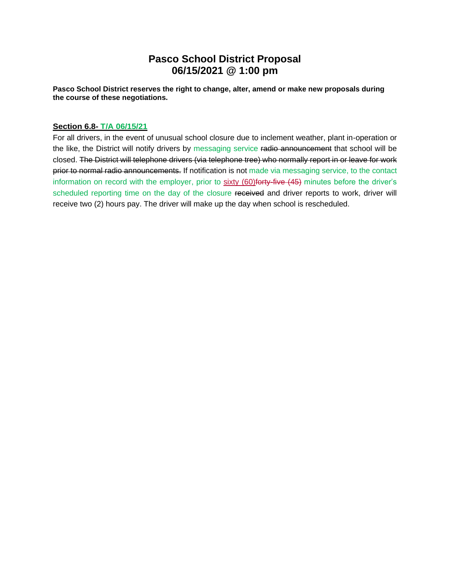## **Pasco School District Proposal 06/15/2021 @ 1:00 pm**

**Pasco School District reserves the right to change, alter, amend or make new proposals during the course of these negotiations.** 

## **Section 6.8- T/A 06/15/21**

For all drivers, in the event of unusual school closure due to inclement weather, plant in-operation or the like, the District will notify drivers by messaging service radio announcement that school will be closed. The District will telephone drivers (via telephone tree) who normally report in or leave for work prior to normal radio announcements. If notification is not made via messaging service, to the contact information on record with the employer, prior to sixty (60) forty-five (45) minutes before the driver's scheduled reporting time on the day of the closure received and driver reports to work, driver will receive two (2) hours pay. The driver will make up the day when school is rescheduled.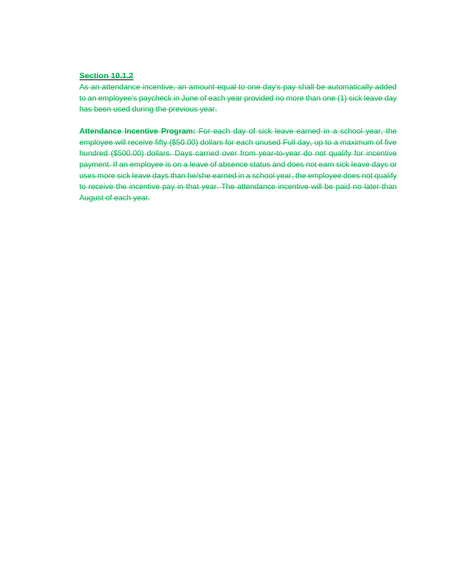## **Section 10.1.2**

As an attendance incentive, an amount equal to one day's pay shall be automatically added to an employee's paycheck in June of each year provided no more than one (1) sick leave day has been used during the previous year.

**Attendance Incentive Program:** For each day of sick leave earned in a school year, the employee will receive fifty (\$50.00) dollars for each unused Full day, up to a maximum of five hundred (\$500.00) dollars. Days carried over from year-to-year do not qualify for incentive payment. If an employee is on a leave of absence status and does not earn sick leave days or uses more sick leave days than he/she earned in a school year, the employee does not qualify to receive the incentive pay in that year. The attendance incentive will be paid no later than August of each year.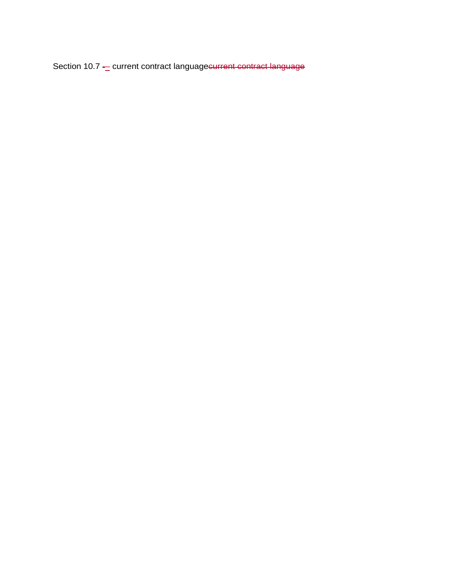Section 10.7 - current contract languagecurrent contract language